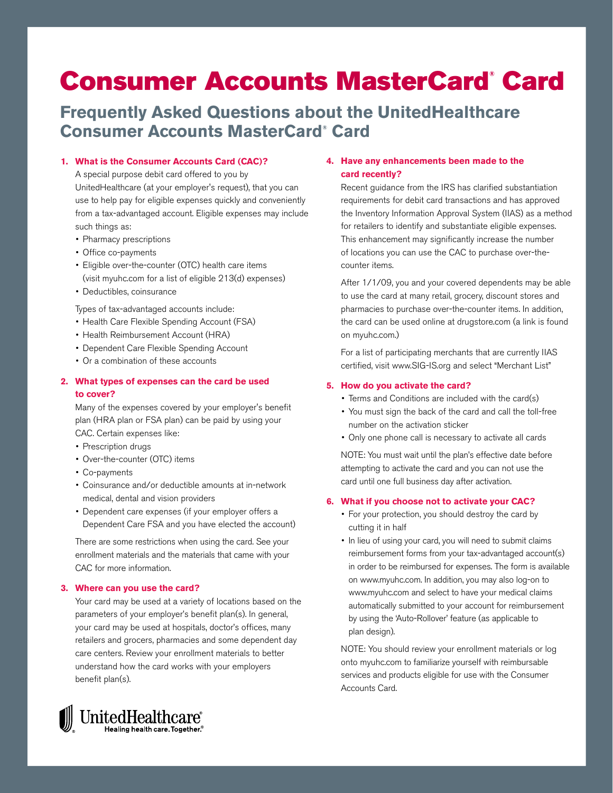# **Consumer Accounts MasterCard® Card**

# **Frequently Asked Questions about the UnitedHealthcare Consumer Accounts MasterCard® Card**

#### **1. What is the Consumer Accounts Card (CAC)?**

A special purpose debit card offered to you by UnitedHealthcare (at your employer's request), that you can use to help pay for eligible expenses quickly and conveniently from a tax-advantaged account. Eligible expenses may include such things as:

- Pharmacy prescriptions
- Office co-payments
- Eligible over-the-counter (OTC) health care items (visit myuhc.com for a list of eligible 213(d) expenses)
- • Deductibles, coinsurance

Types of tax-advantaged accounts include:

- Health Care Flexible Spending Account (FSA)
- Health Reimbursement Account (HRA)
- Dependent Care Flexible Spending Account
- Or a combination of these accounts

# **2. What types of expenses can the card be used to cover?**

Many of the expenses covered by your employer's benefit plan (HRA plan or FSA plan) can be paid by using your CAC. Certain expenses like:

- Prescription drugs
- Over-the-counter (OTC) items
- Co-payments
- • Coinsurance and/or deductible amounts at in-network medical, dental and vision providers
- Dependent care expenses (if your employer offers a Dependent Care FSA and you have elected the account)

There are some restrictions when using the card. See your enrollment materials and the materials that came with your CAC for more information.

#### **3. Where can you use the card?**

Your card may be used at a variety of locations based on the parameters of your employer's benefit plan(s). In general, your card may be used at hospitals, doctor's offices, many retailers and grocers, pharmacies and some dependent day care centers. Review your enrollment materials to better understand how the card works with your employers benefit plan(s).

# **4. Have any enhancements been made to the card recently?** Recent guidance from the IRS has clarified substantiation

requirements for debit card transactions and has approved the Inventory Information Approval System (IIAS) as a method for retailers to identify and substantiate eligible expenses. This enhancement may significantly increase the number of locations you can use the CAC to purchase over-thecounter items.

After 1/1/09, you and your covered dependents may be able to use the card at many retail, grocery, discount stores and pharmacies to purchase over-the-counter items. In addition, the card can be used online at drugstore.com (a link is found on myuhc.com.)

For a list of participating merchants that are currently IIAS certified, visit www.SIG-IS.org and select "Merchant List"

#### **5. How do you activate the card?**

- Terms and Conditions are included with the card(s)
- You must sign the back of the card and call the toll-free number on the activation sticker
- • Only one phone call is necessary to activate all cards

NOTE: You must wait until the plan's effective date before attempting to activate the card and you can not use the card until one full business day after activation.

#### **6. What if you choose not to activate your CAC?**

- For your protection, you should destroy the card by cutting it in half
- In lieu of using your card, you will need to submit claims reimbursement forms from your tax-advantaged account(s) in order to be reimbursed for expenses. The form is available on www.myuhc.com. In addition, you may also log-on to www.myuhc.com and select to have your medical claims automatically submitted to your account for reimbursement by using the 'Auto-Rollover' feature (as applicable to plan design).

NOTE: You should review your enrollment materials or log onto myuhc.com to familiarize yourself with reimbursable services and products eligible for use with the Consumer Accounts Card.